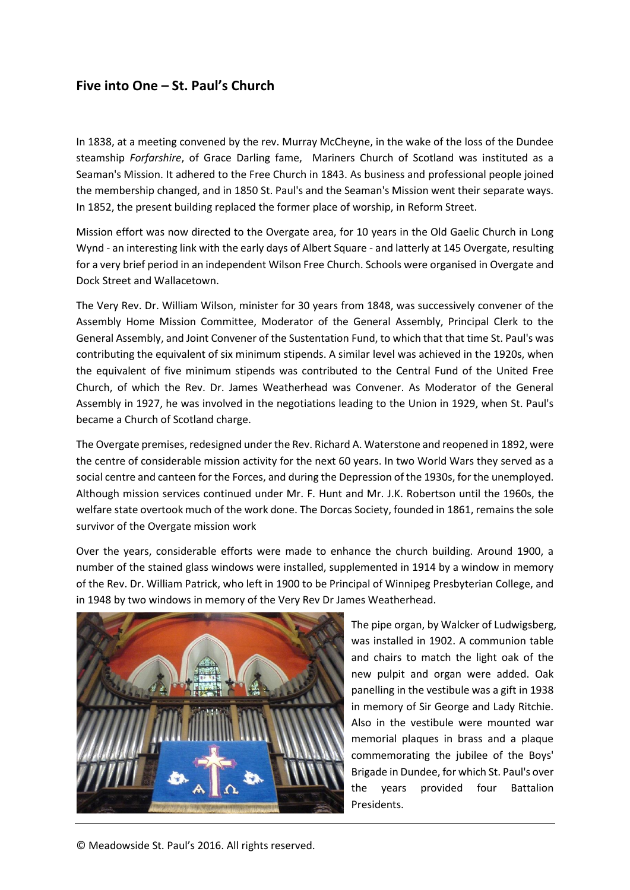## **Five into One – St. Paul's Church**

In 1838, at a meeting convened by the rev. Murray McCheyne, in the wake of the loss of the Dundee steamship *Forfarshire*, of Grace Darling fame, Mariners Church of Scotland was instituted as a Seaman's Mission. It adhered to the Free Church in 1843. As business and professional people joined the membership changed, and in 1850 St. Paul's and the Seaman's Mission went their separate ways. In 1852, the present building replaced the former place of worship, in Reform Street.

Mission effort was now directed to the Overgate area, for 10 years in the Old Gaelic Church in Long Wynd - an interesting link with the early days of Albert Square - and latterly at 145 Overgate, resulting for a very brief period in an independent Wilson Free Church. Schools were organised in Overgate and Dock Street and Wallacetown.

The Very Rev. Dr. William Wilson, minister for 30 years from 1848, was successively convener of the Assembly Home Mission Committee, Moderator of the General Assembly, Principal Clerk to the General Assembly, and Joint Convener of the Sustentation Fund, to which that that time St. Paul's was contributing the equivalent of six minimum stipends. A similar level was achieved in the 1920s, when the equivalent of five minimum stipends was contributed to the Central Fund of the United Free Church, of which the Rev. Dr. James Weatherhead was Convener. As Moderator of the General Assembly in 1927, he was involved in the negotiations leading to the Union in 1929, when St. Paul's became a Church of Scotland charge.

The Overgate premises, redesigned under the Rev. Richard A. Waterstone and reopened in 1892, were the centre of considerable mission activity for the next 60 years. In two World Wars they served as a social centre and canteen for the Forces, and during the Depression of the 1930s, for the unemployed. Although mission services continued under Mr. F. Hunt and Mr. J.K. Robertson until the 1960s, the welfare state overtook much of the work done. The Dorcas Society, founded in 1861, remains the sole survivor of the Overgate mission work

Over the years, considerable efforts were made to enhance the church building. Around 1900, a number of the stained glass windows were installed, supplemented in 1914 by a window in memory of the Rev. Dr. William Patrick, who left in 1900 to be Principal of Winnipeg Presbyterian College, and in 1948 by two windows in memory of the Very Rev Dr James Weatherhead.



The pipe organ, by Walcker of Ludwigsberg, was installed in 1902. A communion table and chairs to match the light oak of the new pulpit and organ were added. Oak panelling in the vestibule was a gift in 1938 in memory of Sir George and Lady Ritchie. Also in the vestibule were mounted war memorial plaques in brass and a plaque commemorating the jubilee of the Boys' Brigade in Dundee, for which St. Paul's over the years provided four Battalion Presidents.